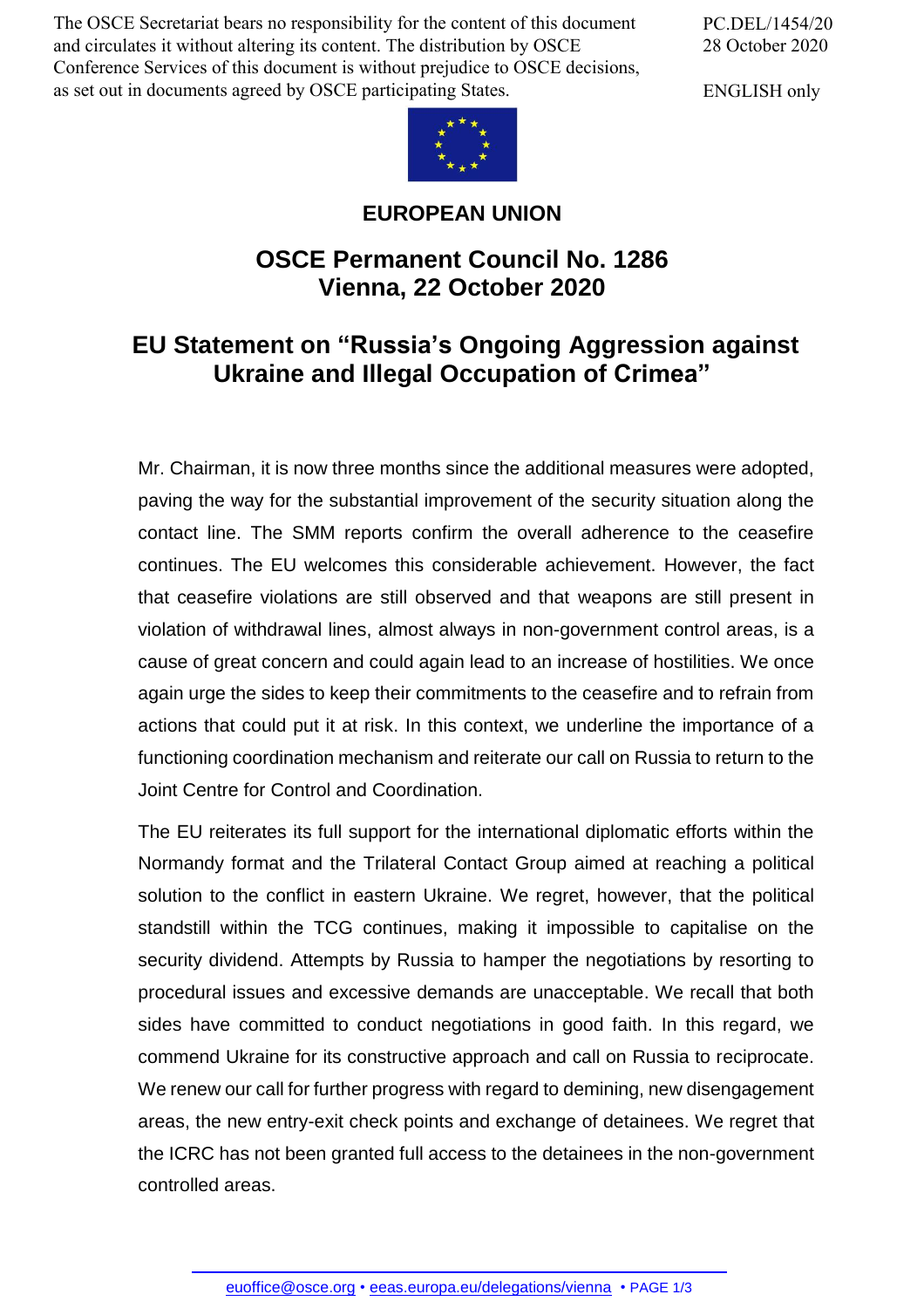The OSCE Secretariat bears no responsibility for the content of this document and circulates it without altering its content. The distribution by OSCE Conference Services of this document is without prejudice to OSCE decisions, as set out in documents agreed by OSCE participating States.

PC.DEL/1454/20 28 October 2020

ENGLISH only



## **EUROPEAN UNION**

## **OSCE Permanent Council No. 1286 Vienna, 22 October 2020**

## **EU Statement on "Russia's Ongoing Aggression against Ukraine and Illegal Occupation of Crimea"**

Mr. Chairman, it is now three months since the additional measures were adopted, paving the way for the substantial improvement of the security situation along the contact line. The SMM reports confirm the overall adherence to the ceasefire continues. The EU welcomes this considerable achievement. However, the fact that ceasefire violations are still observed and that weapons are still present in violation of withdrawal lines, almost always in non-government control areas, is a cause of great concern and could again lead to an increase of hostilities. We once again urge the sides to keep their commitments to the ceasefire and to refrain from actions that could put it at risk. In this context, we underline the importance of a functioning coordination mechanism and reiterate our call on Russia to return to the Joint Centre for Control and Coordination.

The EU reiterates its full support for the international diplomatic efforts within the Normandy format and the Trilateral Contact Group aimed at reaching a political solution to the conflict in eastern Ukraine. We regret, however, that the political standstill within the TCG continues, making it impossible to capitalise on the security dividend. Attempts by Russia to hamper the negotiations by resorting to procedural issues and excessive demands are unacceptable. We recall that both sides have committed to conduct negotiations in good faith. In this regard, we commend Ukraine for its constructive approach and call on Russia to reciprocate. We renew our call for further progress with regard to demining, new disengagement areas, the new entry-exit check points and exchange of detainees. We regret that the ICRC has not been granted full access to the detainees in the non-government controlled areas.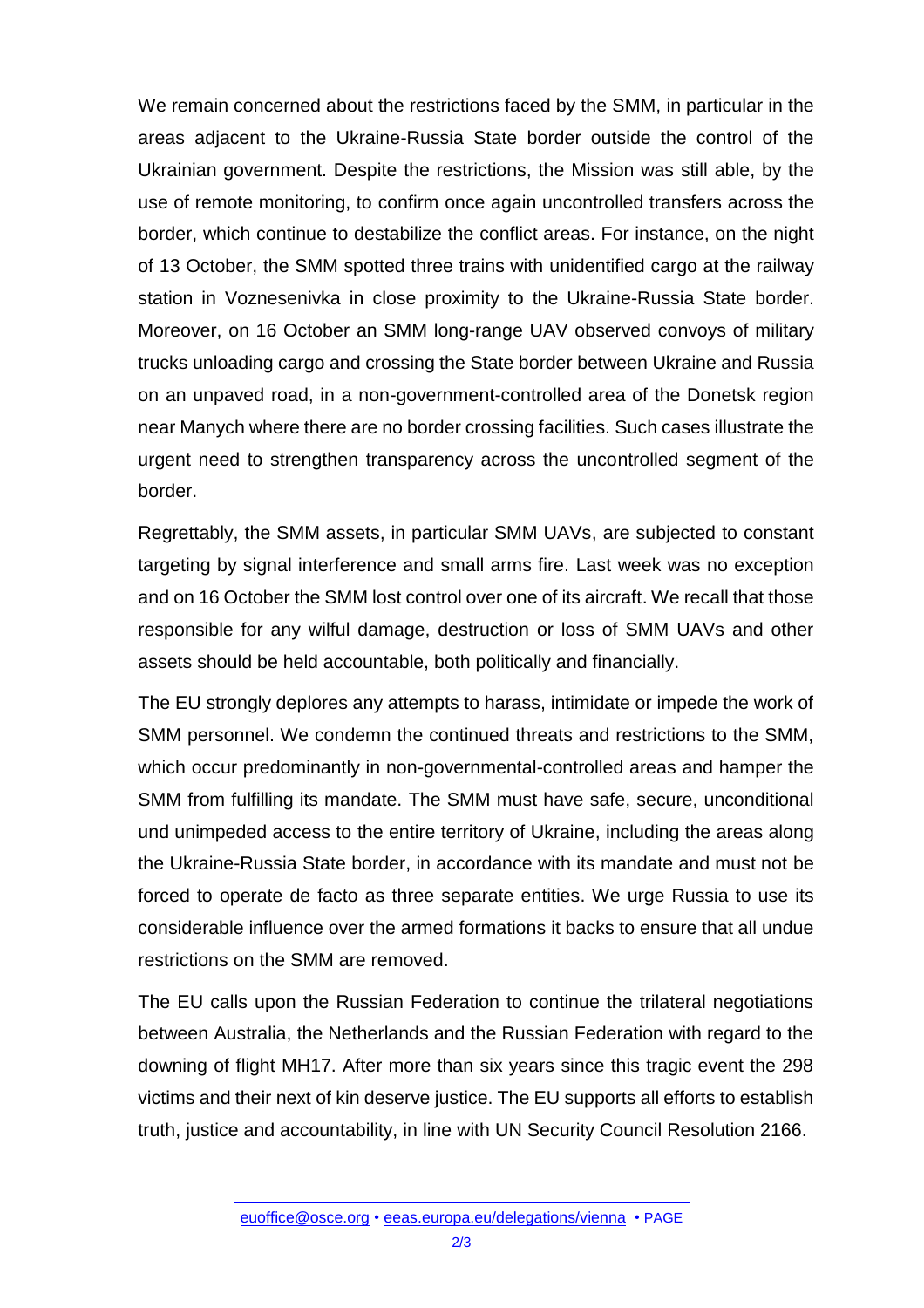We remain concerned about the restrictions faced by the SMM, in particular in the areas adjacent to the Ukraine-Russia State border outside the control of the Ukrainian government. Despite the restrictions, the Mission was still able, by the use of remote monitoring, to confirm once again uncontrolled transfers across the border, which continue to destabilize the conflict areas. For instance, on the night of 13 October, the SMM spotted three trains with unidentified cargo at the railway station in Voznesenivka in close proximity to the Ukraine-Russia State border. Moreover, on 16 October an SMM long-range UAV observed convoys of military trucks unloading cargo and crossing the State border between Ukraine and Russia on an unpaved road, in a non-government-controlled area of the Donetsk region near Manych where there are no border crossing facilities. Such cases illustrate the urgent need to strengthen transparency across the uncontrolled segment of the border.

Regrettably, the SMM assets, in particular SMM UAVs, are subjected to constant targeting by signal interference and small arms fire. Last week was no exception and on 16 October the SMM lost control over one of its aircraft. We recall that those responsible for any wilful damage, destruction or loss of SMM UAVs and other assets should be held accountable, both politically and financially.

The EU strongly deplores any attempts to harass, intimidate or impede the work of SMM personnel. We condemn the continued threats and restrictions to the SMM, which occur predominantly in non-governmental-controlled areas and hamper the SMM from fulfilling its mandate. The SMM must have safe, secure, unconditional und unimpeded access to the entire territory of Ukraine, including the areas along the Ukraine-Russia State border, in accordance with its mandate and must not be forced to operate de facto as three separate entities. We urge Russia to use its considerable influence over the armed formations it backs to ensure that all undue restrictions on the SMM are removed.

The EU calls upon the Russian Federation to continue the trilateral negotiations between Australia, the Netherlands and the Russian Federation with regard to the downing of flight MH17. After more than six years since this tragic event the 298 victims and their next of kin deserve justice. The EU supports all efforts to establish truth, justice and accountability, in line with UN Security Council Resolution 2166.